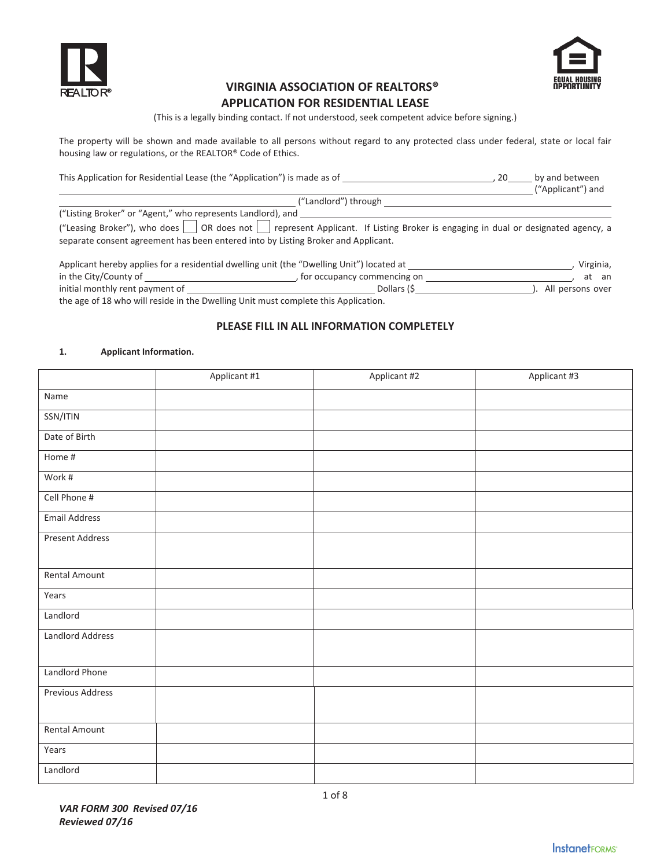



# **VIRGINIA ASSOCIATION OF REALTORS®**

# **APPLICATION FOR RESIDENTIAL LEASE**

(This is a legally binding contact. If not understood, seek competent advice before signing.)

The property will be shown and made available to all persons without regard to any protected class under federal, state or local fair housing law or regulations, or the REALTOR® Code of Ethics.

| This Application for Residential Lease (the "Application") is made as of                                                                                                                                                                                                           | 20. | by and between<br>("Applicant") and |
|------------------------------------------------------------------------------------------------------------------------------------------------------------------------------------------------------------------------------------------------------------------------------------|-----|-------------------------------------|
| ("Landlord") through                                                                                                                                                                                                                                                               |     |                                     |
| ("Listing Broker" or "Agent," who represents Landlord), and<br>("Leasing Broker"), who does on OR does not sepresent Applicant. If Listing Broker is engaging in dual or designated agency, a<br>separate consent agreement has been entered into by Listing Broker and Applicant. |     |                                     |

| Applicant hereby applies for a residential dwelling unit (the "Dwelling Unit") located at |                               | Virginia,        |
|-------------------------------------------------------------------------------------------|-------------------------------|------------------|
| in the City/County of                                                                     | , for occupancy commencing on | at an            |
| initial monthly rent payment of                                                           | Dollars (S                    | All persons over |
| the age of 18 who will reside in the Dwelling Unit must complete this Application.        |                               |                  |

# **PLEASE FILL IN ALL INFORMATION COMPLETELY**

#### **1. Applicant Information.**

|                         | Applicant #1 | Applicant #2 | Applicant #3 |
|-------------------------|--------------|--------------|--------------|
| Name                    |              |              |              |
| SSN/ITIN                |              |              |              |
| Date of Birth           |              |              |              |
| Home #                  |              |              |              |
| Work #                  |              |              |              |
| Cell Phone #            |              |              |              |
| <b>Email Address</b>    |              |              |              |
| <b>Present Address</b>  |              |              |              |
|                         |              |              |              |
| Rental Amount           |              |              |              |
| Years                   |              |              |              |
| Landlord                |              |              |              |
| <b>Landlord Address</b> |              |              |              |
|                         |              |              |              |
| Landlord Phone          |              |              |              |
| Previous Address        |              |              |              |
|                         |              |              |              |
| <b>Rental Amount</b>    |              |              |              |
| Years                   |              |              |              |
| Landlord                |              |              |              |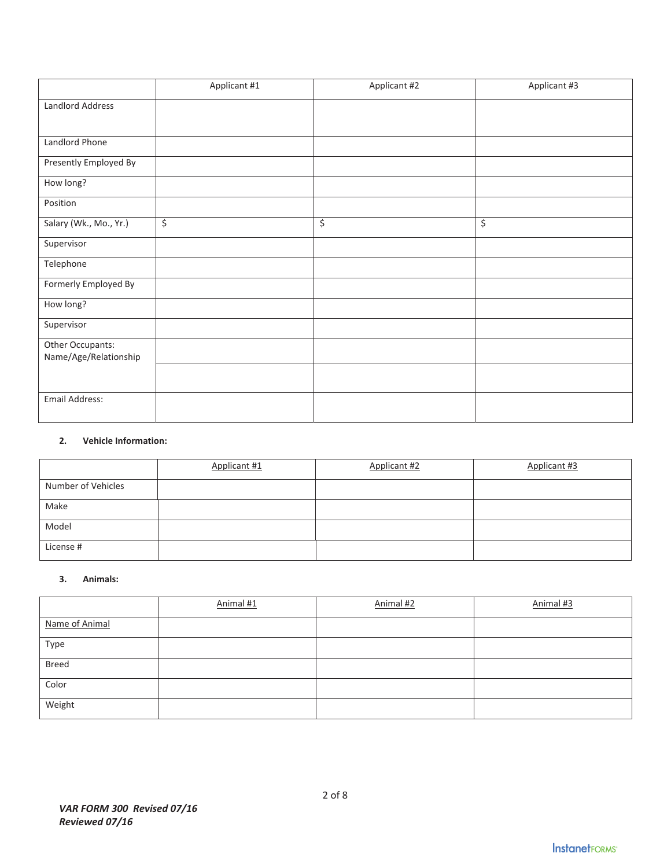|                                           | Applicant #1 | Applicant #2 | Applicant #3     |
|-------------------------------------------|--------------|--------------|------------------|
| Landlord Address                          |              |              |                  |
|                                           |              |              |                  |
| Landlord Phone                            |              |              |                  |
| Presently Employed By                     |              |              |                  |
| How long?                                 |              |              |                  |
| Position                                  |              |              |                  |
| Salary (Wk., Mo., Yr.)                    | \$           | $\zeta$      | $\overline{\xi}$ |
| Supervisor                                |              |              |                  |
| Telephone                                 |              |              |                  |
| Formerly Employed By                      |              |              |                  |
| How long?                                 |              |              |                  |
| Supervisor                                |              |              |                  |
| Other Occupants:<br>Name/Age/Relationship |              |              |                  |
|                                           |              |              |                  |
| Email Address:                            |              |              |                  |

# **2. Vehicle Information:**

|                    | Applicant #1 | Applicant #2 | Applicant #3 |
|--------------------|--------------|--------------|--------------|
| Number of Vehicles |              |              |              |
| Make               |              |              |              |
| Model              |              |              |              |
| License #          |              |              |              |

## **3. Animals:**

|                | Animal #1 | Animal #2 | Animal #3 |
|----------------|-----------|-----------|-----------|
| Name of Animal |           |           |           |
| Type           |           |           |           |
| Breed          |           |           |           |
| Color          |           |           |           |
| Weight         |           |           |           |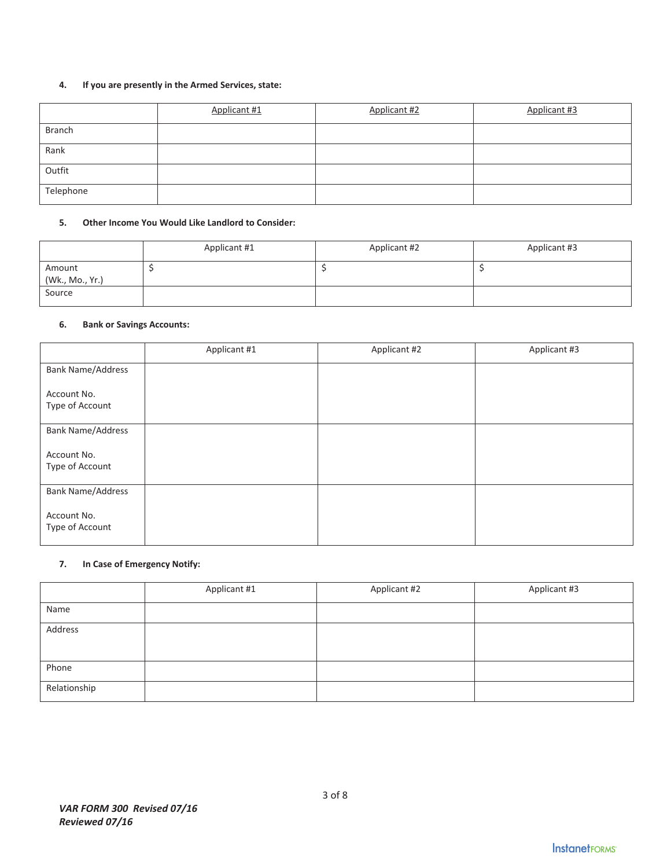# **4. If you are presently in the Armed Services, state:**

|               | Applicant #1 | Applicant #2 | Applicant #3 |
|---------------|--------------|--------------|--------------|
| <b>Branch</b> |              |              |              |
| Rank          |              |              |              |
| Outfit        |              |              |              |
| Telephone     |              |              |              |

#### **5. Other Income You Would Like Landlord to Consider:**

|                           | Applicant #1 | Applicant #2 | Applicant #3 |
|---------------------------|--------------|--------------|--------------|
| Amount<br>(Wk., Mo., Yr.) |              |              |              |
| Source                    |              |              |              |

# **6. Bank or Savings Accounts:**

|                                | Applicant #1 | Applicant #2 | Applicant #3 |
|--------------------------------|--------------|--------------|--------------|
| <b>Bank Name/Address</b>       |              |              |              |
| Account No.<br>Type of Account |              |              |              |
| <b>Bank Name/Address</b>       |              |              |              |
| Account No.<br>Type of Account |              |              |              |
| <b>Bank Name/Address</b>       |              |              |              |
| Account No.<br>Type of Account |              |              |              |

## **7. In Case of Emergency Notify:**

|              | Applicant #1 | Applicant #2 | Applicant #3 |
|--------------|--------------|--------------|--------------|
| Name         |              |              |              |
| Address      |              |              |              |
|              |              |              |              |
| Phone        |              |              |              |
| Relationship |              |              |              |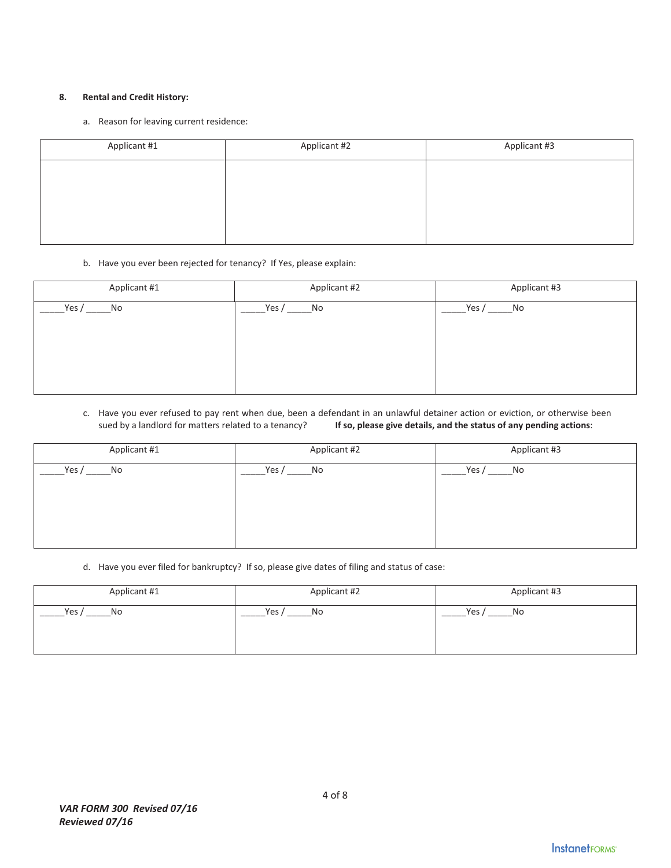#### **8. Rental and Credit History:**

a. Reason for leaving current residence:

| Applicant #1 | Applicant #2 | Applicant #3 |
|--------------|--------------|--------------|
|              |              |              |
|              |              |              |
|              |              |              |
|              |              |              |

#### b. Have you ever been rejected for tenancy? If Yes, please explain:

| Applicant #1  | Applicant #2  | Applicant #3 |
|---------------|---------------|--------------|
| Yes $/$<br>No | Yes $/$<br>No | Yes /<br>No  |
|               |               |              |
|               |               |              |
|               |               |              |
|               |               |              |

#### c. Have you ever refused to pay rent when due, been a defendant in an unlawful detainer action or eviction, or otherwise been sued by a landlord for matters related to a tenancy? **If so, please give details, and the status of any pending actions**:

| Applicant #1 | Applicant #2 | Applicant #3 |
|--------------|--------------|--------------|
| Yes /        | Yes $/$      | Yes /        |
| No           | No           | No           |

#### d. Have you ever filed for bankruptcy? If so, please give dates of filing and status of case:

| Applicant #1 | Applicant #2 | Applicant #3 |
|--------------|--------------|--------------|
| Yes,         | Yes          | Yes,         |
| No           | <b>No</b>    | No           |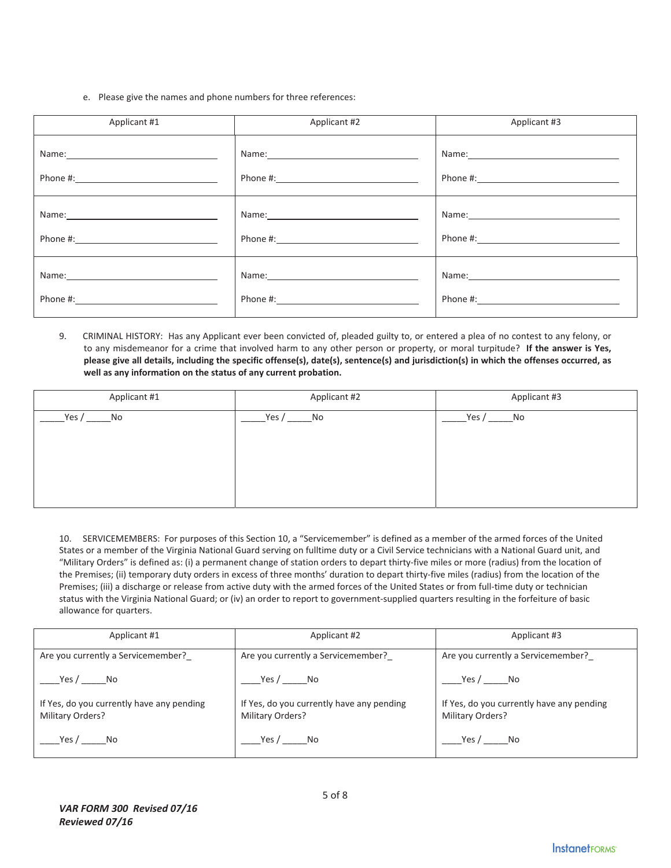e. Please give the names and phone numbers for three references:

| Applicant #1                                                                                                                                                                                                                  | Applicant #2                                                                                                                                                                                                                   | Applicant #3 |
|-------------------------------------------------------------------------------------------------------------------------------------------------------------------------------------------------------------------------------|--------------------------------------------------------------------------------------------------------------------------------------------------------------------------------------------------------------------------------|--------------|
| Name: Name and the second contract of the second contract of the second contract of the second contract of the second contract of the second contract of the second contract of the second contract of the second contract of | Name: Name and the second state of the second state of the second state of the second state of the second state of the second state of the second state of the second state of the second state of the second state of the sec |              |
|                                                                                                                                                                                                                               |                                                                                                                                                                                                                                |              |
| Name: 2008 2010 2021 2022 2023 2024 2022 2022 2023 2024 2022 2023 2024 2022 2023 2024 2022 2023 2024 2022 2023                                                                                                                | Name: 2008 2010 2021 2022 2023 2024 2022 2022 2023 2024 2022 2023 2024 2022 2023 2024 2022 2023 2024 2022 2023                                                                                                                 |              |
|                                                                                                                                                                                                                               |                                                                                                                                                                                                                                |              |
| Name: Name and the service of the service of the service of the service of the service of the service of the service of the service of the service of the service of the service of the service of the service of the service | Name: 2008 2010 2021 2022 2023 2024 2022 2022 2023 2024 2022 2023 2024 2022 2023 2024 2022 2023 2024 2022 2023                                                                                                                 |              |
|                                                                                                                                                                                                                               |                                                                                                                                                                                                                                |              |

9. CRIMINAL HISTORY: Has any Applicant ever been convicted of, pleaded guilty to, or entered a plea of no contest to any felony, or to any misdemeanor for a crime that involved harm to any other person or property, or moral turpitude?**If the answer is Yes,** please give all details, including the specific offense(s), date(s), sentence(s) and jurisdiction(s) in which the offenses occurred, as **well as any information on the status of any current probation.**

| Applicant #1  | Applicant #2  | Applicant #3 |
|---------------|---------------|--------------|
| Yes $/$<br>No | Yes $/$<br>No | Yes /<br>No  |
|               |               |              |
|               |               |              |
|               |               |              |
|               |               |              |

10. SERVICEMEMBERS:For purposes of this Section 10, a "Servicemember" is defined as a member of the armed forces of the United States or a member of the Virginia National Guard serving on fulltime duty or a Civil Service technicians with a National Guard unit, and "Military Orders" is defined as: (i) a permanent change of station orders to depart thirty-five miles or more (radius) from the location of the Premises; (ii) temporary duty orders in excess of three months' duration to depart thirty-five miles (radius) from the location of the Premises; (iii) a discharge or release from active duty with the armed forces of the United States or from full-time duty or technician status with the Virginia National Guard; or (iv) an order to report to government-supplied quarters resulting in the forfeiture of basic allowance for quarters.

| Applicant #1                                                  | Applicant #2                                                  | Applicant #3                                                  |  |
|---------------------------------------------------------------|---------------------------------------------------------------|---------------------------------------------------------------|--|
| Are you currently a Servicemember?                            | Are you currently a Servicemember?                            | Are you currently a Servicemember?                            |  |
| Yes / _______No                                               | Yes / No                                                      | Yes / $\rule{1em}{0.15mm}$ No                                 |  |
| If Yes, do you currently have any pending<br>Military Orders? | If Yes, do you currently have any pending<br>Military Orders? | If Yes, do you currently have any pending<br>Military Orders? |  |
| Yes / No                                                      | Yes / No                                                      | Yes / No                                                      |  |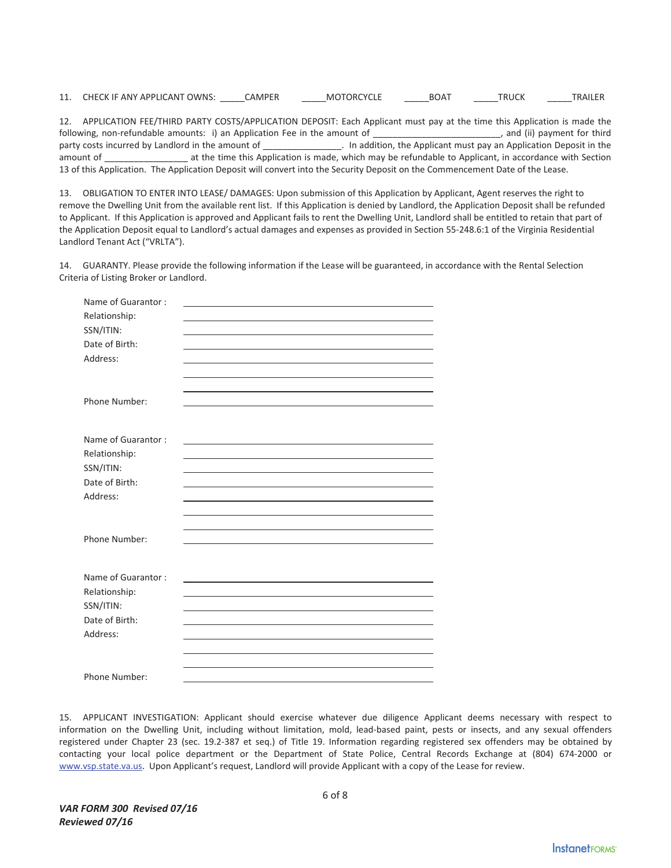| 11. | <sup>-</sup> OWNS.<br><b>CHECK IF ANY APPLICANT</b> | . NAPE | `)R(<br>MО | .OA" | R! | TRAILEI |
|-----|-----------------------------------------------------|--------|------------|------|----|---------|
|     |                                                     |        |            |      |    |         |

12. APPLICATION FEE/THIRD PARTY COSTS/APPLICATION DEPOSIT: Each Applicant must pay at the time this Application is made the following, non-refundable amounts: i) an Application Fee in the amount of \_\_\_\_\_\_\_\_\_\_\_\_\_\_\_\_\_\_\_\_\_\_\_\_ following, non-refundable amounts: i) an Application Fee in the amount of \_\_\_\_\_\_\_ party costs incurred by Landlord in the amount of \_\_\_\_\_\_\_\_\_\_\_\_\_\_\_\_\_. In addition, the Applicant must pay an Application Deposit in the amount of \_\_\_\_\_\_\_\_\_\_\_\_\_\_\_\_\_ at the time this Application is made, which may be refundable to Applicant, in accordance with Section 13 of this Application. The Application Deposit will convert into the Security Deposit on the Commencement Date of the Lease.

13. OBLIGATION TO ENTER INTO LEASE/ DAMAGES: Upon submission of this Application by Applicant, Agent reserves the right to remove the Dwelling Unit from the available rent list. If this Application is denied by Landlord, the Application Deposit shall be refunded to Applicant. If this Application is approved and Applicant fails to rent the Dwelling Unit, Landlord shall be entitled to retain that part of the Application Deposit equal to Landlord's actual damages and expenses as provided in Section 55-248.6:1 of the Virginia Residential Landlord Tenant Act ("VRLTA").

14. GUARANTY. Please provide the following information if the Lease will be guaranteed, in accordance with the Rental Selection Criteria of Listing Broker or Landlord.

| Relationship:<br>SSN/ITIN:<br>Date of Birth:<br>Address:<br>Phone Number:<br>Name of Guarantor:<br>Relationship:<br>SSN/ITIN:<br>Date of Birth:<br>Address:<br>Phone Number:<br>Name of Guarantor:<br>Relationship:<br>SSN/ITIN:<br>Date of Birth:<br>Address:<br>Phone Number: | Name of Guarantor: |  |  |
|---------------------------------------------------------------------------------------------------------------------------------------------------------------------------------------------------------------------------------------------------------------------------------|--------------------|--|--|
|                                                                                                                                                                                                                                                                                 |                    |  |  |
|                                                                                                                                                                                                                                                                                 |                    |  |  |
|                                                                                                                                                                                                                                                                                 |                    |  |  |
|                                                                                                                                                                                                                                                                                 |                    |  |  |
|                                                                                                                                                                                                                                                                                 |                    |  |  |
|                                                                                                                                                                                                                                                                                 |                    |  |  |
|                                                                                                                                                                                                                                                                                 |                    |  |  |
|                                                                                                                                                                                                                                                                                 |                    |  |  |
|                                                                                                                                                                                                                                                                                 |                    |  |  |
|                                                                                                                                                                                                                                                                                 |                    |  |  |
|                                                                                                                                                                                                                                                                                 |                    |  |  |
|                                                                                                                                                                                                                                                                                 |                    |  |  |
|                                                                                                                                                                                                                                                                                 |                    |  |  |
|                                                                                                                                                                                                                                                                                 |                    |  |  |
|                                                                                                                                                                                                                                                                                 |                    |  |  |
|                                                                                                                                                                                                                                                                                 |                    |  |  |
|                                                                                                                                                                                                                                                                                 |                    |  |  |
|                                                                                                                                                                                                                                                                                 |                    |  |  |
|                                                                                                                                                                                                                                                                                 |                    |  |  |
|                                                                                                                                                                                                                                                                                 |                    |  |  |
|                                                                                                                                                                                                                                                                                 |                    |  |  |
|                                                                                                                                                                                                                                                                                 |                    |  |  |
|                                                                                                                                                                                                                                                                                 |                    |  |  |
|                                                                                                                                                                                                                                                                                 |                    |  |  |
|                                                                                                                                                                                                                                                                                 |                    |  |  |
|                                                                                                                                                                                                                                                                                 |                    |  |  |
|                                                                                                                                                                                                                                                                                 |                    |  |  |
|                                                                                                                                                                                                                                                                                 |                    |  |  |

15. APPLICANT INVESTIGATION: Applicant should exercise whatever due diligence Applicant deems necessary with respect to information on the Dwelling Unit, including without limitation, mold, lead-based paint, pests or insects, and any sexual offenders registered under Chapter 23 (sec. 19.2-387 et seq.) of Title 19. Information regarding registered sex offenders may be obtained by contacting your local police department or the Department of State Police, Central Records Exchange at (804) 674-2000 or www.vsp.state.va.us. Upon Applicant's request, Landlord will provide Applicant with a copy of the Lease for review.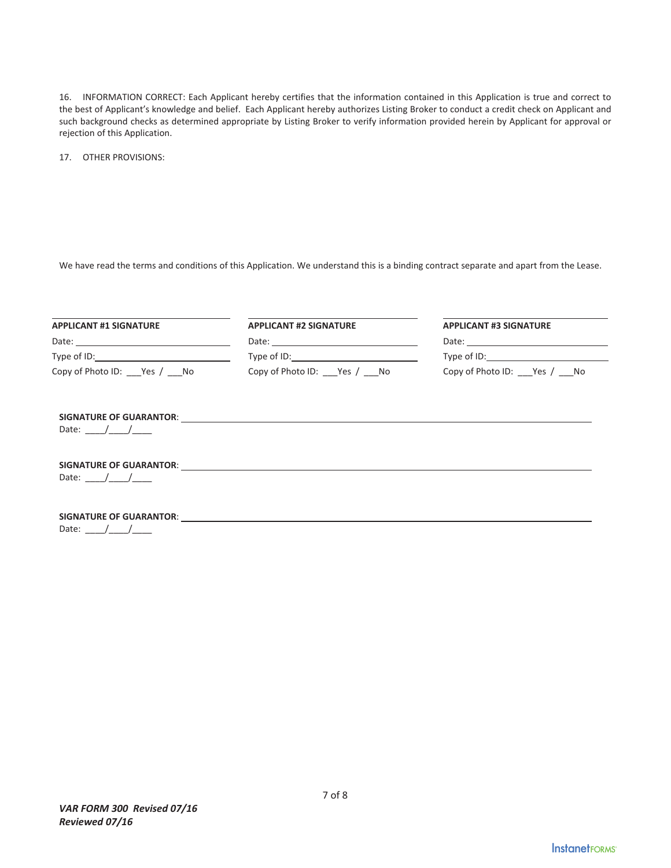16. INFORMATION CORRECT: Each Applicant hereby certifies that the information contained in this Application is true and correct to the best of Applicant's knowledge and belief. Each Applicant hereby authorizes Listing Broker to conduct a credit check on Applicant and such background checks as determined appropriate by Listing Broker to verify information provided herein by Applicant for approval or rejection of this Application.

17. OTHER PROVISIONS:

We have read the terms and conditions of this Application. We understand this is a binding contract separate and apart from the Lease.

| Copy of Photo ID: Yes / No                                                                                                                                                                                                          | Copy of Photo ID: Yes / No | Copy of Photo ID: Yes / No |  |  |
|-------------------------------------------------------------------------------------------------------------------------------------------------------------------------------------------------------------------------------------|----------------------------|----------------------------|--|--|
|                                                                                                                                                                                                                                     |                            |                            |  |  |
| Date: $/$ /                                                                                                                                                                                                                         |                            |                            |  |  |
|                                                                                                                                                                                                                                     |                            |                            |  |  |
| Date: $/$ /                                                                                                                                                                                                                         |                            |                            |  |  |
| <b>SIGNATURE OF GUARANTOR:</b> NOTE AND THE SERVICE OF STRAIN TO A SERVICE OF STRAIN TO A SERVICE OF STRAIN TO A SERVICE OF STRAIN TO A SERVICE OF STRAIN TO A SERVICE OF STRAIN TO A SERVICE OF STRAIN TO A SERVICE OF STRAIN TO A |                            |                            |  |  |